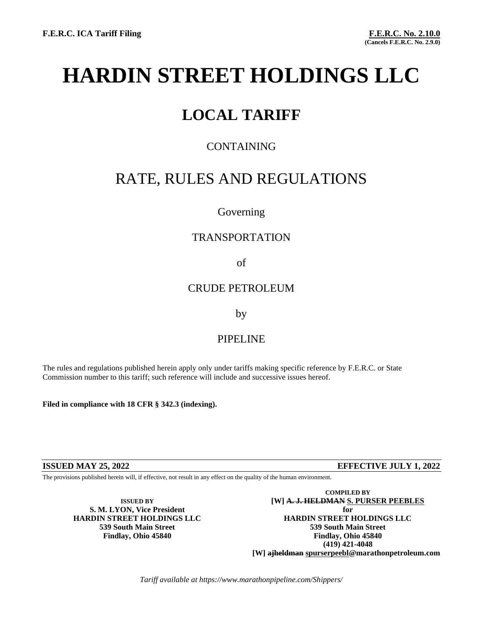# **HARDIN STREET HOLDINGS LLC**

# **LOCAL TARIFF**

# CONTAINING

# RATE, RULES AND REGULATIONS

# Governing

# TRANSPORTATION

### of

# CRUDE PETROLEUM

### by

# PIPELINE

The rules and regulations published herein apply only under tariffs making specific reference by F.E.R.C. or State Commission number to this tariff; such reference will include and successive issues hereof.

**Filed in compliance with 18 CFR § 342.3 (indexing).**

### **ISSUED MAY 25, 2022 EFFECTIVE JULY 1, 2022**

The provisions published herein will, if effective, not result in any effect on the quality of the human environment.

**HARDIN STREET HOLDINGS LLC HARDIN STREET HOLDINGS LLC**

**COMPILED BY ISSUED BY ISSUED BY EXAMPLE 2018 ISSUED BY I S. M. LYON, Vice President for 539 South Main Street 539 South Main Street Findlay, Ohio 45840 Findlay, Ohio 45840 (419) 421-4048 [W] ajheldman spurserpeebl@marathonpetroleum.com**

*Tariff available at https://www.marathonpipeline.com/Shippers/*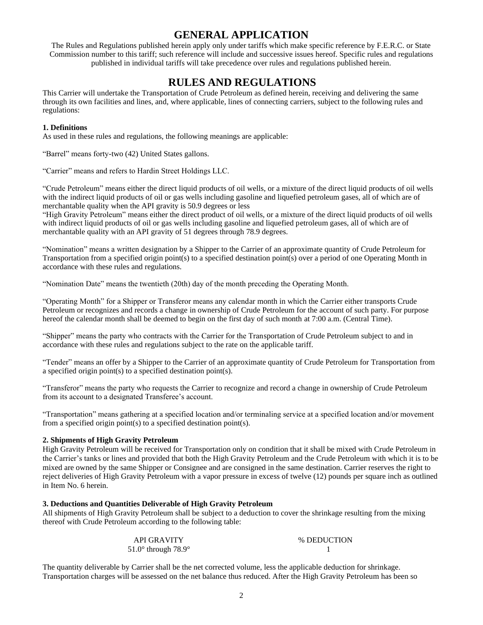# **GENERAL APPLICATION**

The Rules and Regulations published herein apply only under tariffs which make specific reference by F.E.R.C. or State Commission number to this tariff; such reference will include and successive issues hereof. Specific rules and regulations published in individual tariffs will take precedence over rules and regulations published herein.

# **RULES AND REGULATIONS**

This Carrier will undertake the Transportation of Crude Petroleum as defined herein, receiving and delivering the same through its own facilities and lines, and, where applicable, lines of connecting carriers, subject to the following rules and regulations:

#### **1. Definitions**

As used in these rules and regulations, the following meanings are applicable:

"Barrel" means forty-two (42) United States gallons.

"Carrier" means and refers to Hardin Street Holdings LLC.

"Crude Petroleum" means either the direct liquid products of oil wells, or a mixture of the direct liquid products of oil wells with the indirect liquid products of oil or gas wells including gasoline and liquefied petroleum gases, all of which are of merchantable quality when the API gravity is 50.9 degrees or less

"High Gravity Petroleum" means either the direct product of oil wells, or a mixture of the direct liquid products of oil wells with indirect liquid products of oil or gas wells including gasoline and liquefied petroleum gases, all of which are of merchantable quality with an API gravity of 51 degrees through 78.9 degrees.

"Nomination" means a written designation by a Shipper to the Carrier of an approximate quantity of Crude Petroleum for Transportation from a specified origin point(s) to a specified destination point(s) over a period of one Operating Month in accordance with these rules and regulations.

"Nomination Date" means the twentieth (20th) day of the month preceding the Operating Month.

"Operating Month" for a Shipper or Transferor means any calendar month in which the Carrier either transports Crude Petroleum or recognizes and records a change in ownership of Crude Petroleum for the account of such party. For purpose hereof the calendar month shall be deemed to begin on the first day of such month at 7:00 a.m. (Central Time).

"Shipper" means the party who contracts with the Carrier for the Transportation of Crude Petroleum subject to and in accordance with these rules and regulations subject to the rate on the applicable tariff.

"Tender" means an offer by a Shipper to the Carrier of an approximate quantity of Crude Petroleum for Transportation from a specified origin point(s) to a specified destination point(s).

"Transferor" means the party who requests the Carrier to recognize and record a change in ownership of Crude Petroleum from its account to a designated Transferee's account.

"Transportation" means gathering at a specified location and/or terminaling service at a specified location and/or movement from a specified origin point(s) to a specified destination point(s).

#### **2. Shipments of High Gravity Petroleum**

High Gravity Petroleum will be received for Transportation only on condition that it shall be mixed with Crude Petroleum in the Carrier's tanks or lines and provided that both the High Gravity Petroleum and the Crude Petroleum with which it is to be mixed are owned by the same Shipper or Consignee and are consigned in the same destination. Carrier reserves the right to reject deliveries of High Gravity Petroleum with a vapor pressure in excess of twelve (12) pounds per square inch as outlined in Item No. 6 herein.

#### **3. Deductions and Quantities Deliverable of High Gravity Petroleum**

All shipments of High Gravity Petroleum shall be subject to a deduction to cover the shrinkage resulting from the mixing thereof with Crude Petroleum according to the following table:

| <b>API GRAVITY</b>                    | % DEDUCTION |
|---------------------------------------|-------------|
| 51.0 $\degree$ through 78.9 $\degree$ |             |

The quantity deliverable by Carrier shall be the net corrected volume, less the applicable deduction for shrinkage. Transportation charges will be assessed on the net balance thus reduced. After the High Gravity Petroleum has been so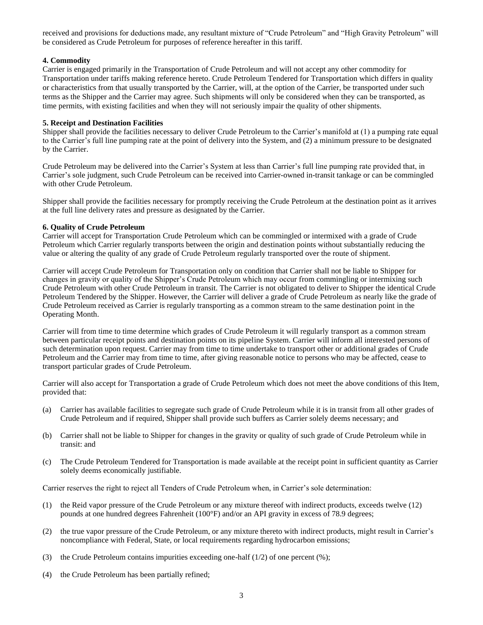received and provisions for deductions made, any resultant mixture of "Crude Petroleum" and "High Gravity Petroleum" will be considered as Crude Petroleum for purposes of reference hereafter in this tariff.

#### **4. Commodity**

Carrier is engaged primarily in the Transportation of Crude Petroleum and will not accept any other commodity for Transportation under tariffs making reference hereto. Crude Petroleum Tendered for Transportation which differs in quality or characteristics from that usually transported by the Carrier, will, at the option of the Carrier, be transported under such terms as the Shipper and the Carrier may agree. Such shipments will only be considered when they can be transported, as time permits, with existing facilities and when they will not seriously impair the quality of other shipments.

#### **5. Receipt and Destination Facilities**

Shipper shall provide the facilities necessary to deliver Crude Petroleum to the Carrier's manifold at (1) a pumping rate equal to the Carrier's full line pumping rate at the point of delivery into the System, and (2) a minimum pressure to be designated by the Carrier.

Crude Petroleum may be delivered into the Carrier's System at less than Carrier's full line pumping rate provided that, in Carrier's sole judgment, such Crude Petroleum can be received into Carrier-owned in-transit tankage or can be commingled with other Crude Petroleum.

Shipper shall provide the facilities necessary for promptly receiving the Crude Petroleum at the destination point as it arrives at the full line delivery rates and pressure as designated by the Carrier.

#### **6. Quality of Crude Petroleum**

Carrier will accept for Transportation Crude Petroleum which can be commingled or intermixed with a grade of Crude Petroleum which Carrier regularly transports between the origin and destination points without substantially reducing the value or altering the quality of any grade of Crude Petroleum regularly transported over the route of shipment.

Carrier will accept Crude Petroleum for Transportation only on condition that Carrier shall not be liable to Shipper for changes in gravity or quality of the Shipper's Crude Petroleum which may occur from commingling or intermixing such Crude Petroleum with other Crude Petroleum in transit. The Carrier is not obligated to deliver to Shipper the identical Crude Petroleum Tendered by the Shipper. However, the Carrier will deliver a grade of Crude Petroleum as nearly like the grade of Crude Petroleum received as Carrier is regularly transporting as a common stream to the same destination point in the Operating Month.

Carrier will from time to time determine which grades of Crude Petroleum it will regularly transport as a common stream between particular receipt points and destination points on its pipeline System. Carrier will inform all interested persons of such determination upon request. Carrier may from time to time undertake to transport other or additional grades of Crude Petroleum and the Carrier may from time to time, after giving reasonable notice to persons who may be affected, cease to transport particular grades of Crude Petroleum.

Carrier will also accept for Transportation a grade of Crude Petroleum which does not meet the above conditions of this Item, provided that:

- (a) Carrier has available facilities to segregate such grade of Crude Petroleum while it is in transit from all other grades of Crude Petroleum and if required, Shipper shall provide such buffers as Carrier solely deems necessary; and
- (b) Carrier shall not be liable to Shipper for changes in the gravity or quality of such grade of Crude Petroleum while in transit: and
- (c) The Crude Petroleum Tendered for Transportation is made available at the receipt point in sufficient quantity as Carrier solely deems economically justifiable.

Carrier reserves the right to reject all Tenders of Crude Petroleum when, in Carrier's sole determination:

- (1) the Reid vapor pressure of the Crude Petroleum or any mixture thereof with indirect products, exceeds twelve (12) pounds at one hundred degrees Fahrenheit (100°F) and/or an API gravity in excess of 78.9 degrees;
- (2) the true vapor pressure of the Crude Petroleum, or any mixture thereto with indirect products, might result in Carrier's noncompliance with Federal, State, or local requirements regarding hydrocarbon emissions;
- (3) the Crude Petroleum contains impurities exceeding one-half  $(1/2)$  of one percent  $(\%)$ ;
- (4) the Crude Petroleum has been partially refined;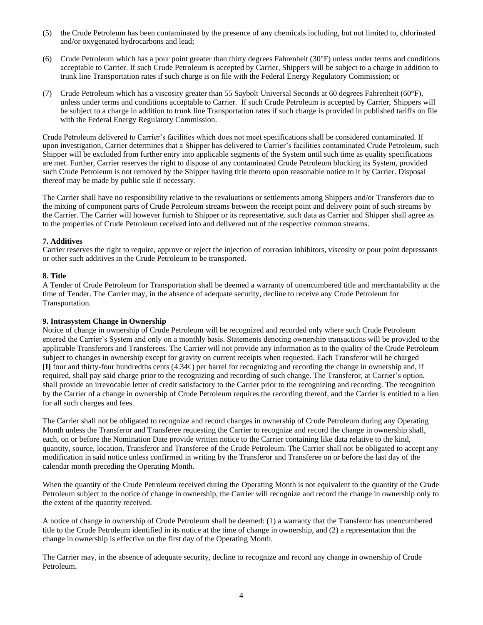- (5) the Crude Petroleum has been contaminated by the presence of any chemicals including, but not limited to, chlorinated and/or oxygenated hydrocarbons and lead;
- (6) Crude Petroleum which has a pour point greater than thirty degrees Fahrenheit (30°F) unless under terms and conditions acceptable to Carrier. If such Crude Petroleum is accepted by Carrier, Shippers will be subject to a charge in addition to trunk line Transportation rates if such charge is on file with the Federal Energy Regulatory Commission; or
- (7) Crude Petroleum which has a viscosity greater than 55 Saybolt Universal Seconds at 60 degrees Fahrenheit (60°F), unless under terms and conditions acceptable to Carrier. If such Crude Petroleum is accepted by Carrier, Shippers will be subject to a charge in addition to trunk line Transportation rates if such charge is provided in published tariffs on file with the Federal Energy Regulatory Commission.

Crude Petroleum delivered to Carrier's facilities which does not meet specifications shall be considered contaminated. If upon investigation, Carrier determines that a Shipper has delivered to Carrier's facilities contaminated Crude Petroleum, such Shipper will be excluded from further entry into applicable segments of the System until such time as quality specifications are met. Further, Carrier reserves the right to dispose of any contaminated Crude Petroleum blocking its System, provided such Crude Petroleum is not removed by the Shipper having title thereto upon reasonable notice to it by Carrier. Disposal thereof may be made by public sale if necessary.

The Carrier shall have no responsibility relative to the revaluations or settlements among Shippers and/or Transferors due to the mixing of component parts of Crude Petroleum streams between the receipt point and delivery point of such streams by the Carrier. The Carrier will however furnish to Shipper or its representative, such data as Carrier and Shipper shall agree as to the properties of Crude Petroleum received into and delivered out of the respective common streams.

#### **7. Additives**

Carrier reserves the right to require, approve or reject the injection of corrosion inhibitors, viscosity or pour point depressants or other such additives in the Crude Petroleum to be transported.

#### **8. Title**

A Tender of Crude Petroleum for Transportation shall be deemed a warranty of unencumbered title and merchantability at the time of Tender. The Carrier may, in the absence of adequate security, decline to receive any Crude Petroleum for Transportation.

#### **9. Intrasystem Change in Ownership**

Notice of change in ownership of Crude Petroleum will be recognized and recorded only where such Crude Petroleum entered the Carrier's System and only on a monthly basis. Statements denoting ownership transactions will be provided to the applicable Transferors and Transferees. The Carrier will not provide any information as to the quality of the Crude Petroleum subject to changes in ownership except for gravity on current receipts when requested. Each Transferor will be charged **[I]** four and thirty-four hundredths cents (4.34¢) per barrel for recognizing and recording the change in ownership and, if required, shall pay said charge prior to the recognizing and recording of such change. The Transferor, at Carrier's option, shall provide an irrevocable letter of credit satisfactory to the Carrier prior to the recognizing and recording. The recognition by the Carrier of a change in ownership of Crude Petroleum requires the recording thereof, and the Carrier is entitled to a lien for all such charges and fees.

The Carrier shall not be obligated to recognize and record changes in ownership of Crude Petroleum during any Operating Month unless the Transferor and Transferee requesting the Carrier to recognize and record the change in ownership shall, each, on or before the Nomination Date provide written notice to the Carrier containing like data relative to the kind, quantity, source, location, Transferor and Transferee of the Crude Petroleum. The Carrier shall not be obligated to accept any modification in said notice unless confirmed in writing by the Transferor and Transferee on or before the last day of the calendar month preceding the Operating Month.

When the quantity of the Crude Petroleum received during the Operating Month is not equivalent to the quantity of the Crude Petroleum subject to the notice of change in ownership, the Carrier will recognize and record the change in ownership only to the extent of the quantity received.

A notice of change in ownership of Crude Petroleum shall be deemed: (1) a warranty that the Transferor has unencumbered title to the Crude Petroleum identified in its notice at the time of change in ownership, and (2) a representation that the change in ownership is effective on the first day of the Operating Month.

The Carrier may, in the absence of adequate security, decline to recognize and record any change in ownership of Crude Petroleum.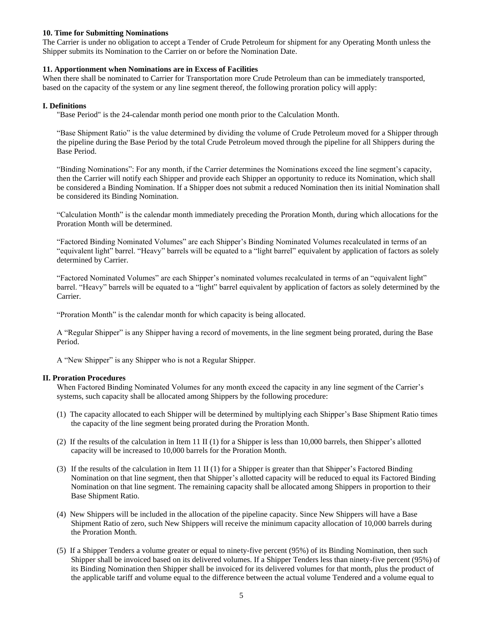#### **10. Time for Submitting Nominations**

The Carrier is under no obligation to accept a Tender of Crude Petroleum for shipment for any Operating Month unless the Shipper submits its Nomination to the Carrier on or before the Nomination Date.

#### **11. Apportionment when Nominations are in Excess of Facilities**

When there shall be nominated to Carrier for Transportation more Crude Petroleum than can be immediately transported, based on the capacity of the system or any line segment thereof, the following proration policy will apply:

#### **I. Definitions**

"Base Period" is the 24-calendar month period one month prior to the Calculation Month.

"Base Shipment Ratio" is the value determined by dividing the volume of Crude Petroleum moved for a Shipper through the pipeline during the Base Period by the total Crude Petroleum moved through the pipeline for all Shippers during the Base Period.

"Binding Nominations": For any month, if the Carrier determines the Nominations exceed the line segment's capacity, then the Carrier will notify each Shipper and provide each Shipper an opportunity to reduce its Nomination, which shall be considered a Binding Nomination. If a Shipper does not submit a reduced Nomination then its initial Nomination shall be considered its Binding Nomination.

"Calculation Month" is the calendar month immediately preceding the Proration Month, during which allocations for the Proration Month will be determined.

"Factored Binding Nominated Volumes" are each Shipper's Binding Nominated Volumes recalculated in terms of an "equivalent light" barrel. "Heavy" barrels will be equated to a "light barrel" equivalent by application of factors as solely determined by Carrier.

"Factored Nominated Volumes" are each Shipper's nominated volumes recalculated in terms of an "equivalent light" barrel. "Heavy" barrels will be equated to a "light" barrel equivalent by application of factors as solely determined by the Carrier.

"Proration Month" is the calendar month for which capacity is being allocated.

A "Regular Shipper" is any Shipper having a record of movements, in the line segment being prorated, during the Base Period.

A "New Shipper" is any Shipper who is not a Regular Shipper.

#### **II. Proration Procedures**

When Factored Binding Nominated Volumes for any month exceed the capacity in any line segment of the Carrier's systems, such capacity shall be allocated among Shippers by the following procedure:

- (1) The capacity allocated to each Shipper will be determined by multiplying each Shipper's Base Shipment Ratio times the capacity of the line segment being prorated during the Proration Month.
- (2) If the results of the calculation in Item 11 II (1) for a Shipper is less than 10,000 barrels, then Shipper's allotted capacity will be increased to 10,000 barrels for the Proration Month.
- (3) If the results of the calculation in Item 11 II (1) for a Shipper is greater than that Shipper's Factored Binding Nomination on that line segment, then that Shipper's allotted capacity will be reduced to equal its Factored Binding Nomination on that line segment. The remaining capacity shall be allocated among Shippers in proportion to their Base Shipment Ratio.
- (4) New Shippers will be included in the allocation of the pipeline capacity. Since New Shippers will have a Base Shipment Ratio of zero, such New Shippers will receive the minimum capacity allocation of 10,000 barrels during the Proration Month.
- (5) If a Shipper Tenders a volume greater or equal to ninety-five percent (95%) of its Binding Nomination, then such Shipper shall be invoiced based on its delivered volumes. If a Shipper Tenders less than ninety-five percent (95%) of its Binding Nomination then Shipper shall be invoiced for its delivered volumes for that month, plus the product of the applicable tariff and volume equal to the difference between the actual volume Tendered and a volume equal to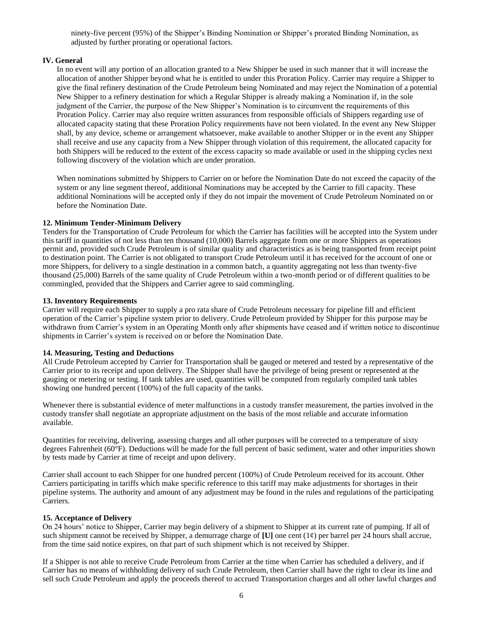ninety-five percent (95%) of the Shipper's Binding Nomination or Shipper's prorated Binding Nomination, as adjusted by further prorating or operational factors.

#### **IV. General**

In no event will any portion of an allocation granted to a New Shipper be used in such manner that it will increase the allocation of another Shipper beyond what he is entitled to under this Proration Policy. Carrier may require a Shipper to give the final refinery destination of the Crude Petroleum being Nominated and may reject the Nomination of a potential New Shipper to a refinery destination for which a Regular Shipper is already making a Nomination if, in the sole judgment of the Carrier, the purpose of the New Shipper's Nomination is to circumvent the requirements of this Proration Policy. Carrier may also require written assurances from responsible officials of Shippers regarding use of allocated capacity stating that these Proration Policy requirements have not been violated. In the event any New Shipper shall, by any device, scheme or arrangement whatsoever, make available to another Shipper or in the event any Shipper shall receive and use any capacity from a New Shipper through violation of this requirement, the allocated capacity for both Shippers will be reduced to the extent of the excess capacity so made available or used in the shipping cycles next following discovery of the violation which are under proration.

When nominations submitted by Shippers to Carrier on or before the Nomination Date do not exceed the capacity of the system or any line segment thereof, additional Nominations may be accepted by the Carrier to fill capacity. These additional Nominations will be accepted only if they do not impair the movement of Crude Petroleum Nominated on or before the Nomination Date.

#### **12. Minimum Tender-Minimum Delivery**

Tenders for the Transportation of Crude Petroleum for which the Carrier has facilities will be accepted into the System under this tariff in quantities of not less than ten thousand (10,000) Barrels aggregate from one or more Shippers as operations permit and, provided such Crude Petroleum is of similar quality and characteristics as is being transported from receipt point to destination point. The Carrier is not obligated to transport Crude Petroleum until it has received for the account of one or more Shippers, for delivery to a single destination in a common batch, a quantity aggregating not less than twenty-five thousand (25,000) Barrels of the same quality of Crude Petroleum within a two-month period or of different qualities to be commingled, provided that the Shippers and Carrier agree to said commingling.

#### **13. Inventory Requirements**

Carrier will require each Shipper to supply a pro rata share of Crude Petroleum necessary for pipeline fill and efficient operation of the Carrier's pipeline system prior to delivery. Crude Petroleum provided by Shipper for this purpose may be withdrawn from Carrier's system in an Operating Month only after shipments have ceased and if written notice to discontinue shipments in Carrier's system is received on or before the Nomination Date.

#### **14. Measuring, Testing and Deductions**

All Crude Petroleum accepted by Carrier for Transportation shall be gauged or metered and tested by a representative of the Carrier prior to its receipt and upon delivery. The Shipper shall have the privilege of being present or represented at the gauging or metering or testing. If tank tables are used, quantities will be computed from regularly compiled tank tables showing one hundred percent (100%) of the full capacity of the tanks.

Whenever there is substantial evidence of meter malfunctions in a custody transfer measurement, the parties involved in the custody transfer shall negotiate an appropriate adjustment on the basis of the most reliable and accurate information available.

Quantities for receiving, delivering, assessing charges and all other purposes will be corrected to a temperature of sixty degrees Fahrenheit (60°F). Deductions will be made for the full percent of basic sediment, water and other impurities shown by tests made by Carrier at time of receipt and upon delivery.

Carrier shall account to each Shipper for one hundred percent (100%) of Crude Petroleum received for its account. Other Carriers participating in tariffs which make specific reference to this tariff may make adjustments for shortages in their pipeline systems. The authority and amount of any adjustment may be found in the rules and regulations of the participating Carriers.

#### **15. Acceptance of Delivery**

On 24 hours' notice to Shipper, Carrier may begin delivery of a shipment to Shipper at its current rate of pumping. If all of such shipment cannot be received by Shipper, a demurrage charge of  $[U]$  one cent  $(i\ell)$  per barrel per 24 hours shall accrue, from the time said notice expires, on that part of such shipment which is not received by Shipper.

If a Shipper is not able to receive Crude Petroleum from Carrier at the time when Carrier has scheduled a delivery, and if Carrier has no means of withholding delivery of such Crude Petroleum, then Carrier shall have the right to clear its line and sell such Crude Petroleum and apply the proceeds thereof to accrued Transportation charges and all other lawful charges and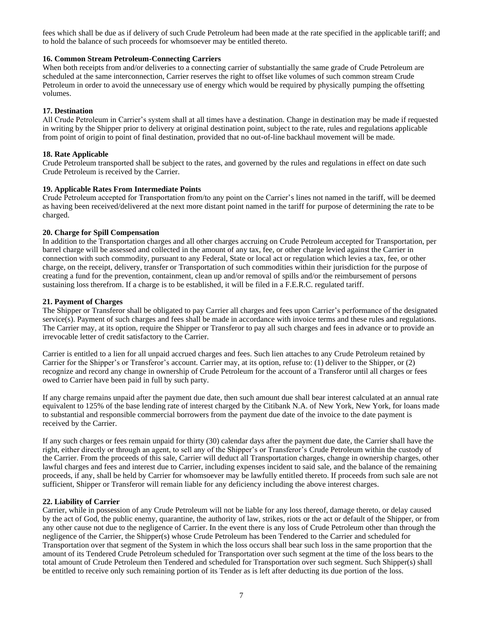fees which shall be due as if delivery of such Crude Petroleum had been made at the rate specified in the applicable tariff; and to hold the balance of such proceeds for whomsoever may be entitled thereto.

#### **16. Common Stream Petroleum-Connecting Carriers**

When both receipts from and/or deliveries to a connecting carrier of substantially the same grade of Crude Petroleum are scheduled at the same interconnection, Carrier reserves the right to offset like volumes of such common stream Crude Petroleum in order to avoid the unnecessary use of energy which would be required by physically pumping the offsetting volumes.

#### **17. Destination**

All Crude Petroleum in Carrier's system shall at all times have a destination. Change in destination may be made if requested in writing by the Shipper prior to delivery at original destination point, subject to the rate, rules and regulations applicable from point of origin to point of final destination, provided that no out-of-line backhaul movement will be made.

#### **18. Rate Applicable**

Crude Petroleum transported shall be subject to the rates, and governed by the rules and regulations in effect on date such Crude Petroleum is received by the Carrier.

#### **19. Applicable Rates From Intermediate Points**

Crude Petroleum accepted for Transportation from/to any point on the Carrier's lines not named in the tariff, will be deemed as having been received/delivered at the next more distant point named in the tariff for purpose of determining the rate to be charged.

#### **20. Charge for Spill Compensation**

In addition to the Transportation charges and all other charges accruing on Crude Petroleum accepted for Transportation, per barrel charge will be assessed and collected in the amount of any tax, fee, or other charge levied against the Carrier in connection with such commodity, pursuant to any Federal, State or local act or regulation which levies a tax, fee, or other charge, on the receipt, delivery, transfer or Transportation of such commodities within their jurisdiction for the purpose of creating a fund for the prevention, containment, clean up and/or removal of spills and/or the reimbursement of persons sustaining loss therefrom. If a charge is to be established, it will be filed in a F.E.R.C. regulated tariff.

#### **21. Payment of Charges**

The Shipper or Transferor shall be obligated to pay Carrier all charges and fees upon Carrier's performance of the designated service(s). Payment of such charges and fees shall be made in accordance with invoice terms and these rules and regulations. The Carrier may, at its option, require the Shipper or Transferor to pay all such charges and fees in advance or to provide an irrevocable letter of credit satisfactory to the Carrier.

Carrier is entitled to a lien for all unpaid accrued charges and fees. Such lien attaches to any Crude Petroleum retained by Carrier for the Shipper's or Transferor's account. Carrier may, at its option, refuse to: (1) deliver to the Shipper, or (2) recognize and record any change in ownership of Crude Petroleum for the account of a Transferor until all charges or fees owed to Carrier have been paid in full by such party.

If any charge remains unpaid after the payment due date, then such amount due shall bear interest calculated at an annual rate equivalent to 125% of the base lending rate of interest charged by the Citibank N.A. of New York, New York, for loans made to substantial and responsible commercial borrowers from the payment due date of the invoice to the date payment is received by the Carrier.

If any such charges or fees remain unpaid for thirty (30) calendar days after the payment due date, the Carrier shall have the right, either directly or through an agent, to sell any of the Shipper's or Transferor's Crude Petroleum within the custody of the Carrier. From the proceeds of this sale, Carrier will deduct all Transportation charges, change in ownership charges, other lawful charges and fees and interest due to Carrier, including expenses incident to said sale, and the balance of the remaining proceeds, if any, shall be held by Carrier for whomsoever may be lawfully entitled thereto. If proceeds from such sale are not sufficient, Shipper or Transferor will remain liable for any deficiency including the above interest charges.

#### **22. Liability of Carrier**

Carrier, while in possession of any Crude Petroleum will not be liable for any loss thereof, damage thereto, or delay caused by the act of God, the public enemy, quarantine, the authority of law, strikes, riots or the act or default of the Shipper, or from any other cause not due to the negligence of Carrier. In the event there is any loss of Crude Petroleum other than through the negligence of the Carrier, the Shipper(s) whose Crude Petroleum has been Tendered to the Carrier and scheduled for Transportation over that segment of the System in which the loss occurs shall bear such loss in the same proportion that the amount of its Tendered Crude Petroleum scheduled for Transportation over such segment at the time of the loss bears to the total amount of Crude Petroleum then Tendered and scheduled for Transportation over such segment. Such Shipper(s) shall be entitled to receive only such remaining portion of its Tender as is left after deducting its due portion of the loss.